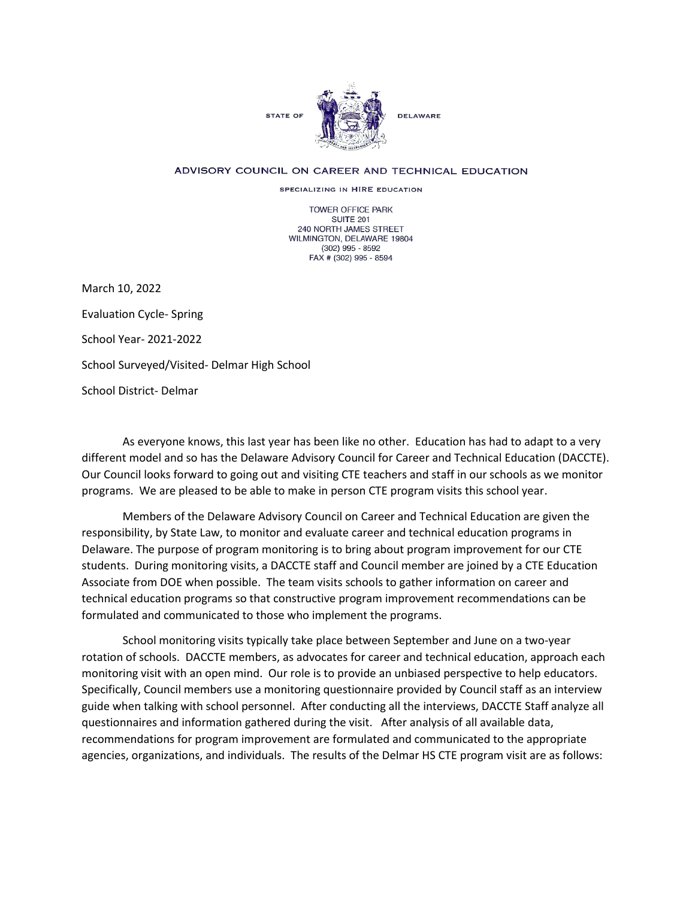

## ADVISORY COUNCIL ON CAREER AND TECHNICAL EDUCATION

SPECIALIZING IN HIRE EDUCATION

TOWER OFFICE PARK SUITE 201 240 NORTH JAMES STREET WILMINGTON, DELAWARE 19804 (302) 995 - 8592 FAX # (302) 995 - 8594

March 10, 2022 Evaluation Cycle- Spring School Year- 2021-2022 School Surveyed/Visited- Delmar High School School District- Delmar

As everyone knows, this last year has been like no other. Education has had to adapt to a very different model and so has the Delaware Advisory Council for Career and Technical Education (DACCTE). Our Council looks forward to going out and visiting CTE teachers and staff in our schools as we monitor programs. We are pleased to be able to make in person CTE program visits this school year.

Members of the Delaware Advisory Council on Career and Technical Education are given the responsibility, by State Law, to monitor and evaluate career and technical education programs in Delaware. The purpose of program monitoring is to bring about program improvement for our CTE students. During monitoring visits, a DACCTE staff and Council member are joined by a CTE Education Associate from DOE when possible. The team visits schools to gather information on career and technical education programs so that constructive program improvement recommendations can be formulated and communicated to those who implement the programs.

School monitoring visits typically take place between September and June on a two-year rotation of schools. DACCTE members, as advocates for career and technical education, approach each monitoring visit with an open mind. Our role is to provide an unbiased perspective to help educators. Specifically, Council members use a monitoring questionnaire provided by Council staff as an interview guide when talking with school personnel. After conducting all the interviews, DACCTE Staff analyze all questionnaires and information gathered during the visit. After analysis of all available data, recommendations for program improvement are formulated and communicated to the appropriate agencies, organizations, and individuals. The results of the Delmar HS CTE program visit are as follows: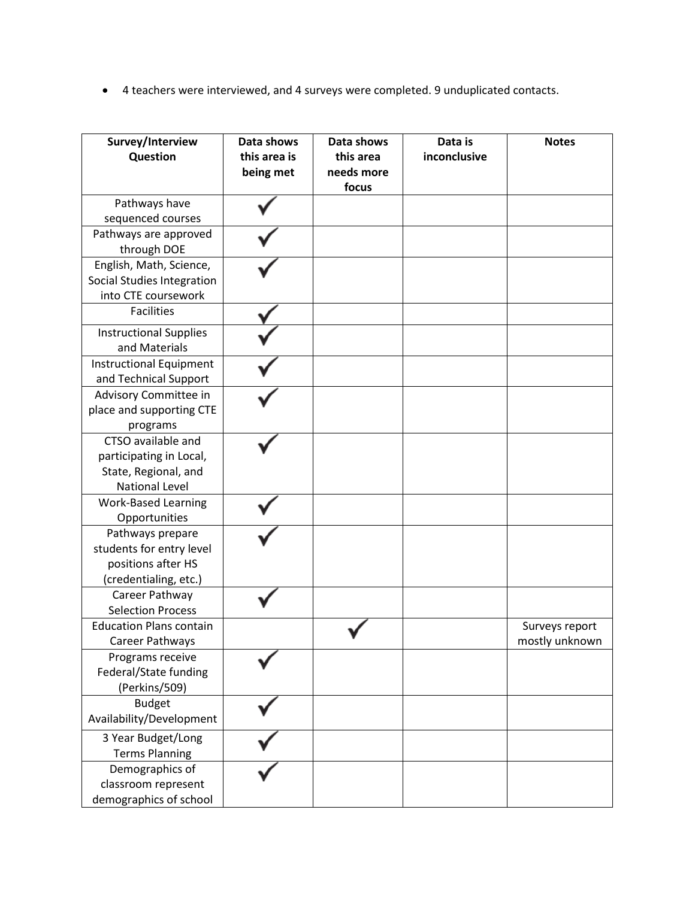• 4 teachers were interviewed, and 4 surveys were completed. 9 unduplicated contacts.

| Survey/Interview<br>Question   | Data shows<br>this area is<br>being met | Data shows<br>this area<br>needs more<br>focus | Data is<br>inconclusive | <b>Notes</b>   |
|--------------------------------|-----------------------------------------|------------------------------------------------|-------------------------|----------------|
| Pathways have                  |                                         |                                                |                         |                |
| sequenced courses              |                                         |                                                |                         |                |
| Pathways are approved          |                                         |                                                |                         |                |
| through DOE                    |                                         |                                                |                         |                |
| English, Math, Science,        |                                         |                                                |                         |                |
| Social Studies Integration     |                                         |                                                |                         |                |
| into CTE coursework            |                                         |                                                |                         |                |
| <b>Facilities</b>              |                                         |                                                |                         |                |
| <b>Instructional Supplies</b>  |                                         |                                                |                         |                |
| and Materials                  |                                         |                                                |                         |                |
| <b>Instructional Equipment</b> |                                         |                                                |                         |                |
| and Technical Support          |                                         |                                                |                         |                |
| Advisory Committee in          |                                         |                                                |                         |                |
| place and supporting CTE       |                                         |                                                |                         |                |
| programs                       |                                         |                                                |                         |                |
| CTSO available and             |                                         |                                                |                         |                |
| participating in Local,        |                                         |                                                |                         |                |
| State, Regional, and           |                                         |                                                |                         |                |
| <b>National Level</b>          |                                         |                                                |                         |                |
| <b>Work-Based Learning</b>     |                                         |                                                |                         |                |
| Opportunities                  |                                         |                                                |                         |                |
| Pathways prepare               |                                         |                                                |                         |                |
| students for entry level       |                                         |                                                |                         |                |
| positions after HS             |                                         |                                                |                         |                |
| (credentialing, etc.)          |                                         |                                                |                         |                |
| Career Pathway                 |                                         |                                                |                         |                |
| <b>Selection Process</b>       |                                         |                                                |                         |                |
| <b>Education Plans contain</b> |                                         |                                                |                         | Surveys report |
| Career Pathways                |                                         |                                                |                         | mostly unknown |
| Programs receive               |                                         |                                                |                         |                |
| Federal/State funding          |                                         |                                                |                         |                |
| (Perkins/509)                  |                                         |                                                |                         |                |
| <b>Budget</b>                  |                                         |                                                |                         |                |
| Availability/Development       |                                         |                                                |                         |                |
| 3 Year Budget/Long             |                                         |                                                |                         |                |
| <b>Terms Planning</b>          |                                         |                                                |                         |                |
| Demographics of                |                                         |                                                |                         |                |
| classroom represent            |                                         |                                                |                         |                |
| demographics of school         |                                         |                                                |                         |                |